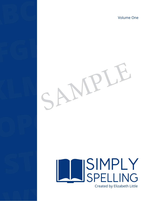Volume One



**ABCD**

## STUVE 19 WXYX SIMPLY SPELLING Created by Elizabeth Little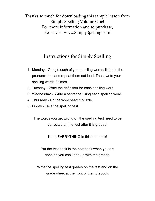Thanks so much for downloading this sample lesson from Simply Spelling Volume One! For more information and to purchase, please visit www.SimplySpelling.com!

## Instructions for Simply Spelling

- 1. Monday Google each of your spelling words, listen to the pronunciation and repeat them out loud. Then, write your spelling words 3 times.
- 2. Tuesday Write the definition for each spelling word.
- 3. Wednesday Write a sentence using each spelling word.
- 4. Thursday Do the word search puzzle.
- 5. Friday Take the spelling test.

The words you get wrong on the spelling test need to be corrected on the test after it is graded.

Keep EVERYTHING in this notebook!

Put the test back in the notebook when you are done so you can keep up with the grades.

Write the spelling test grades on the test and on the grade sheet at the front of the notebook.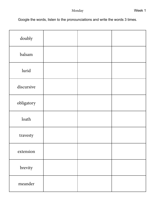Google the words, listen to the pronounciations and write the words 3 times.

| doubly     |  |  |
|------------|--|--|
| balsam     |  |  |
| lurid      |  |  |
| discursive |  |  |
| obligatory |  |  |
| loath      |  |  |
| travesty   |  |  |
| extension  |  |  |
| brevity    |  |  |
| meander    |  |  |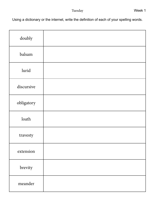Using a dictionary or the internet, write the definition of each of your spelling words.

| doubly     |  |
|------------|--|
| balsam     |  |
| lurid      |  |
| discursive |  |
| obligatory |  |
| loath      |  |
| travesty   |  |
| extension  |  |
| brevity    |  |
| meander    |  |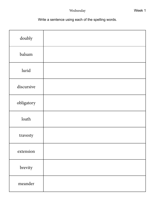Write a sentence using each of the spelling words.

| doubly     |  |
|------------|--|
| balsam     |  |
| lurid      |  |
| discursive |  |
| obligatory |  |
| loath      |  |
| travesty   |  |
| extension  |  |
| brevity    |  |
| meander    |  |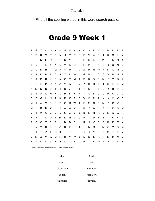Thursday

Find all the spelling words in this word search puzzle.

## Grade 9 Week 1

| R  | G            | Т | C | N | Y | Κ            | F | M | Y | N | Q            | X            | F      | X              | V | M | N | B | Z |
|----|--------------|---|---|---|---|--------------|---|---|---|---|--------------|--------------|--------|----------------|---|---|---|---|---|
| P  | P            | R | М | т | P | N            | J | Y | Τ | S | Е            | V            | A      | R              | т | R | Q | Κ | Y |
| L. | C            | N | F | R | L | Х            | Q | Υ | J | D | P            | R            | Κ      | R              | W | L | R | М | X |
| T  | V            | Т | L | Y | X | N            | М | Κ | D | N | P            | М            | т      | K              | L | J | Q | N | B |
| м  | D            | N | н | т | Q | R            | М | P | Τ | M | W            | R            | R      | W              | R | Κ | L | N | С |
| X  | P            | Κ | R | F | C | R            | Ζ | L | M | V | G            | M            | J      | O              | Q | V | н | N | R |
| F  | т            | P | R | Y | Ε | N            | O | Y | M | T | D            | R            | Q      | B              | М | F | Y | D | Ζ |
| B  | C            | L | P | D | Κ | A            | Y | A | Κ | Y | Y            | B            | R      | L              | т | D | L | Κ | M |
| N  | М            | N | N | Q | Т | Т            | S | J | F | T | Т            | D            | т      | $\overline{1}$ | J | Z | B | V | J |
| Ζ  | т            | A | L | н | N | L            | R | B | Y | Κ | $\mathbf{I}$ | Q            | B      | G              | G | R | U | J | L |
| D  | Ε            | G | L | N | A | Κ            | R | Κ | P | C | V            | Q            | P      | A              | N | X | O | V | Q |
| м  | $\mathbf{I}$ | W | М | B | O | P            | G | R | W | Τ | Ε            | M            | C      | $\top$         | M | Ζ | D | V | N |
| м  | G            | S | Κ | Z | L | $\mathbf{I}$ | W | W | Z | N | R            | Z            | W      | O              | Κ | т | C | B | M |
| J  | т            | М | C | C | J | L            | S | X | L | Ζ | B            | N            | N      | R              | L | K | Q | X | R |
| N  | F            | Y | L | U | Τ | M            | Κ | N | L | U | R            | $\mathbf{I}$ | D      | Y              | B | т | C | F | Ζ |
| P  | C            | C | т | R | R | Н            | B | B | Е | L | R            | J            | V      | Q              | Q | Κ | P | X | Y |
| L  | N            | V | R | Q | С | S            | R | Κ | J | Τ | L            | $\mathsf{N}$ | M      | Н              | M | G | Y | Q | M |
| J  | Т            | Т | Z | L | G | Κ            | T | T | F | L | X            | X            | Υ      | R              | D | M | T | F | Y |
| C  | М            | Z | V | X | Q | Κ            | Η | V | W | Z | D            | Ε            | Г      | R              | R | N | R | W | Ζ |
| н  | $\mathsf{N}$ | Q | C | V | K | B            | L | X | E | M | H            | Y            | $\vee$ | W              | P | F | X | P | Y |

© 2020 by Elizabeth Little. Made using 1-2-3 Word Search Maker™

| halsam     | loath      |
|------------|------------|
| brevity    | hırid      |
| discursive | meander    |
| doubly     | obligatory |
| extension  | travesty   |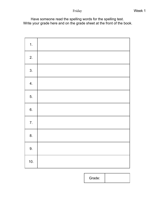Have someone read the spelling words for the spelling test. Write your grade here and on the grade sheet at the front of the book.

| 1.               |  |
|------------------|--|
| 2.               |  |
| 3.               |  |
| 4.               |  |
| 5.               |  |
| 6.               |  |
| $\overline{7}$ . |  |
| 8.               |  |
| 9.               |  |
| 10.              |  |

Grade: